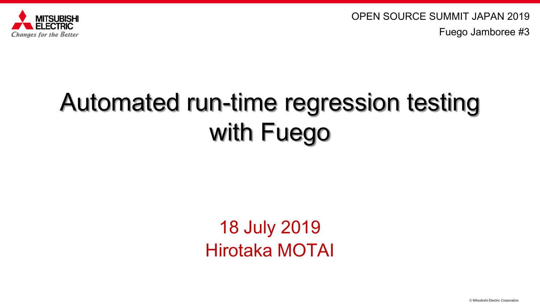



# Automated run-time regression testing with Fuego

### 18 July 2019 Hirotaka MOTAI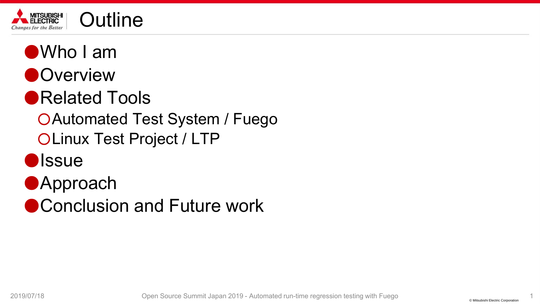

- ●Who I am
- ●**Overview**
- ●Related Tools
	- ○Automated Test System / Fuego OLinux Test Project / LTP
- **D**ISSUE
- ●Approach
- Conclusion and Future work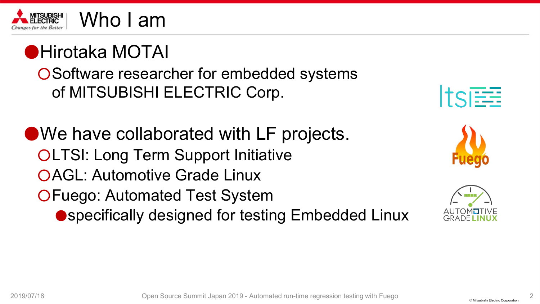

### ●Hirotaka MOTAI ○Software researcher for embedded systems of MITSUBISHI ELECTRIC Corp.

●We have collaborated with LF projects. **OLTSI: Long Term Support Initiative** ○AGL: Automotive Grade Linux ○Fuego: Automated Test System ● specifically designed for testing Embedded Linux





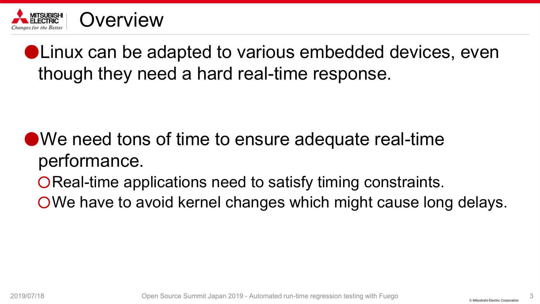

● Linux can be adapted to various embedded devices, even though they need a hard real-time response.

- ●We need tons of time to ensure adequate real-time performance.
	- ○Real-time applications need to satisfy timing constraints.
	- OWe have to avoid kernel changes which might cause long delays.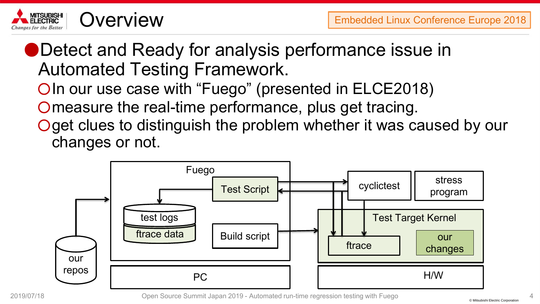

●Detect and Ready for analysis performance issue in Automated Testing Framework.

○In our use case with "Fuego" (presented in ELCE2018)

Omeasure the real-time performance, plus get tracing.

Oget clues to distinguish the problem whether it was caused by our changes or not.

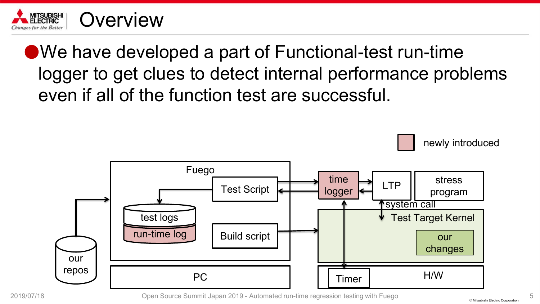

### $\bullet$  We have developed a part of Functional-test run-time logger to get clues to detect internal performance problems even if all of the function test are successful.

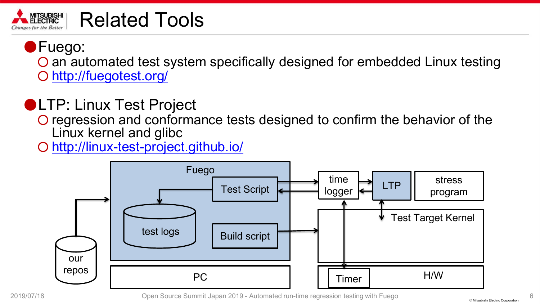#### **MITSUBISHI**<br>ELECTRIC Related Tools aes for the Better

### ●Fuego: O an automated test system specifically designed for embedded Linux testing

○ <http://fuegotest.org/>

### ●LTP: Linux Test Project

○ regression and conformance tests designed to confirm the behavior of the Linux kernel and glibc

<http://linux-test-project.github.io/>

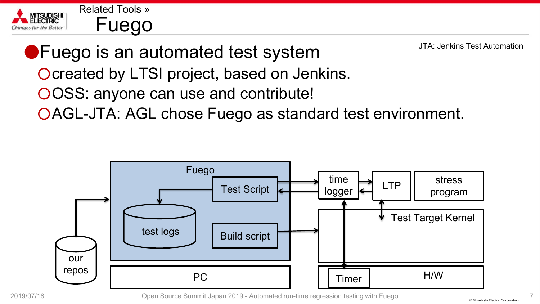

JTA: Jenkins Test Automation

●Fuego is an automated test system Ocreated by LTSI project, based on Jenkins.

- OOSS: anyone can use and contribute!
- OAGL-JTA: AGL chose Fuego as standard test environment.

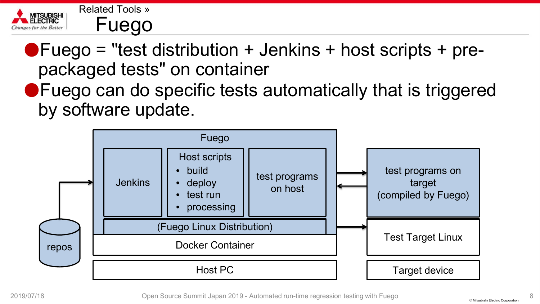

 $\bullet$  Fuego = "test distribution + Jenkins + host scripts + prepackaged tests" on container

●Fuego can do specific tests automatically that is triggered by software update.

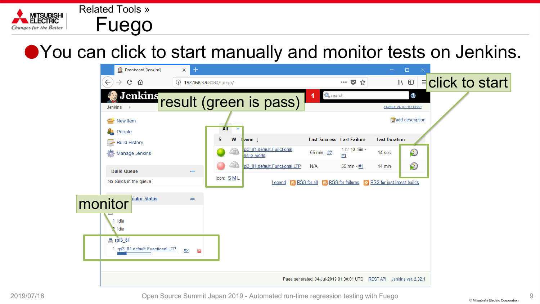

### ● You can click to start manually and monitor tests on Jenkins.

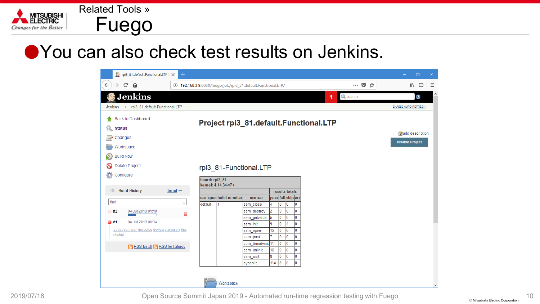

### ● You can also check test results on Jenkins.

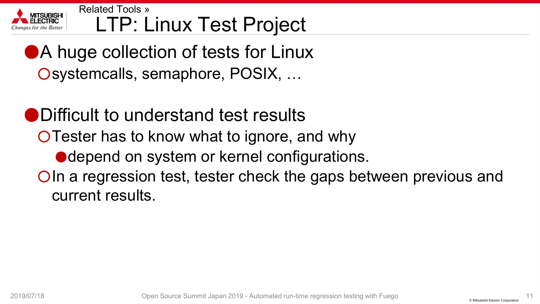

#### LTP: Linux Test Project Related Tools »

- ●A huge collection of tests for Linux Osystemcalls, semaphore, POSIX, ...
- ●Difficult to understand test results
	- ○Tester has to know what to ignore, and why
		- depend on system or kernel configurations.
	- ○In a regression test, tester check the gaps between previous and current results.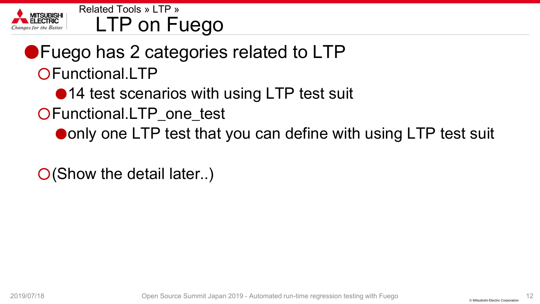

LTP on Fuego Related Tools » LTP »

### ●Fuego has 2 categories related to LTP ○Functional.LTP

- ●14 test scenarios with using LTP test suit
- OFunctional.LTP\_one\_test
	- ●only one LTP test that you can define with using LTP test suit

O(Show the detail later..)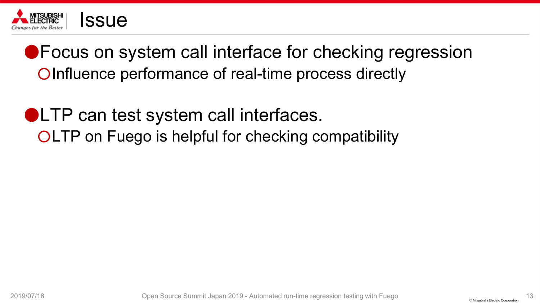

● Focus on system call interface for checking regression ○Influence performance of real-time process directly

●LTP can test system call interfaces. ○LTP on Fuego is helpful for checking compatibility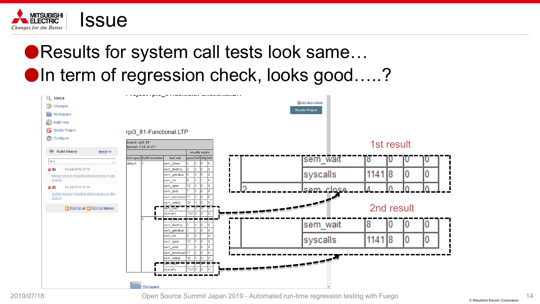

### ●Results for system call tests look same... ●In term of regression check, looks good…..?

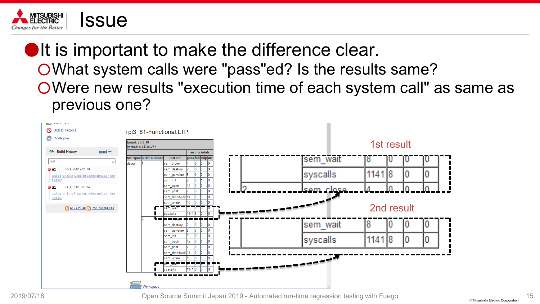

**•It is important to make the difference clear.** ○What system calls were "pass"ed? Is the results same? ○Were new results "execution time of each system call" as same as previous one?

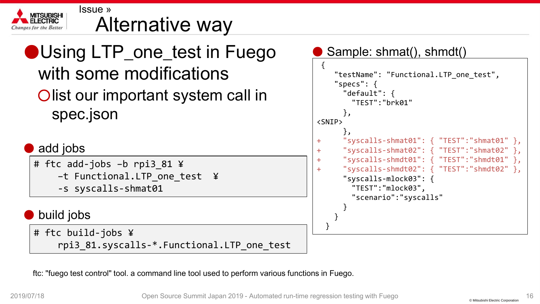

#### Alternative way Issue »

### ●Using LTP\_one\_test in Fuego with some modifications Olist our important system call in spec.json

#### add jobs

# ftc add-jobs –b rpi3\_81 ¥ –t Functional.LTP\_one\_test ¥ -s syscalls-shmat01

#### build jobs

# ftc build-jobs ¥ rpi3 81.syscalls-\*.Functional.LTP one test

#### Sample: shmat(), shmdt()

```
{
    "testName": "Functional.LTP_one_test",
    "specs": {
      "default": {
        "TEST":"brk01"
      },
<SNIP>
      \},
+ "syscalls-shmat01": { "TEST":"shmat01" },
      + "syscalls-shmat02": { "TEST":"shmat02" },
      + "syscalls-shmdt01": { "TEST":"shmdt01" },
+ "syscalls-shmdt02": { "TEST":"shmdt02" },
      "syscalls-mlock03": {
        "TEST":"mlock03",
        "scenario":"syscalls"
      }
    }
  }
```
ftc: "fuego test control" tool. a command line tool used to perform various functions in Fuego.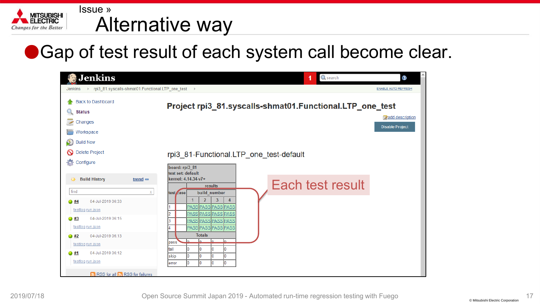

#### Alternative way Issue »

●Gap of test result of each system call become clear.

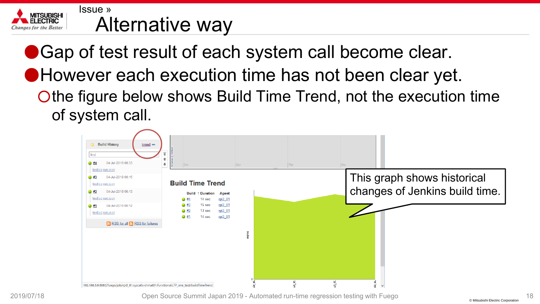

#### Alternative way Issue »

● Gap of test result of each system call become clear. ●However each execution time has not been clear yet. Othe figure below shows Build Time Trend, not the execution time of system call.

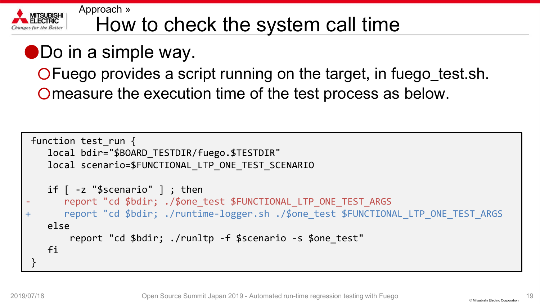

#### How to check the system call time Approach »

### ●Do in a simple way.

○Fuego provides a script running on the target, in fuego\_test.sh. Omeasure the execution time of the test process as below.

```
function test run {
   local bdir="$BOARD_TESTDIR/fuego.$TESTDIR"
   local scenario=$FUNCTIONAL_LTP_ONE_TEST_SCENARIO
   if \lceil -z "$scenario" \rceil ; then
       report "cd $bdir; ./$one test $FUNCTIONAL LTP ONE TEST ARGS
+ report "cd $bdir; ./runtime-logger.sh ./$one_test $FUNCTIONAL LTP ONE TEST ARGS
   else
        report "cd $bdir; ./runltp -f $scenario -s $one_test"
   fi
 }
```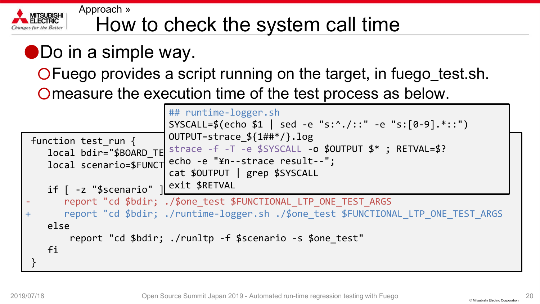

#### How to check the system call time Approach »

### ●Do in a simple way.

○Fuego provides a script running on the target, in fuego\_test.sh. Omeasure the execution time of the test process as below.

|                                                                                                                                                                                                                                             | ## runtime-logger.sh<br>SYSCALL=\$(echo \$1   sed -e "s:^./::" -e "s:[0-9].*::")                                                                                                                         |
|---------------------------------------------------------------------------------------------------------------------------------------------------------------------------------------------------------------------------------------------|----------------------------------------------------------------------------------------------------------------------------------------------------------------------------------------------------------|
| function test_run {<br>if [ -z "\$scenario"   exit \$RETVAL                                                                                                                                                                                 | OUTPUT=strace $${1\#}{#}/.log$<br>local bdir="\$BOARD_TE strace -f -T -e \$SYSCALL -o \$OUTPUT \$*; RETVAL=\$?<br>local scenario=\$FUNCT echo -e "¥n--strace result--";<br>cat \$OUTPUT   grep \$SYSCALL |
| report "cd \$bdir; ./\$one_test \$FUNCTIONAL_LTP_ONE_TEST_ARGS<br>report "cd \$bdir; ./runtime-logger.sh ./\$one_test \$FUNCTIONAL_LTP_ONE_TEST_ARGS<br>$\ddot{}$<br>else<br>report "cd \$bdir; ./runltp -f \$scenario -s \$one_test"<br>fi |                                                                                                                                                                                                          |
|                                                                                                                                                                                                                                             |                                                                                                                                                                                                          |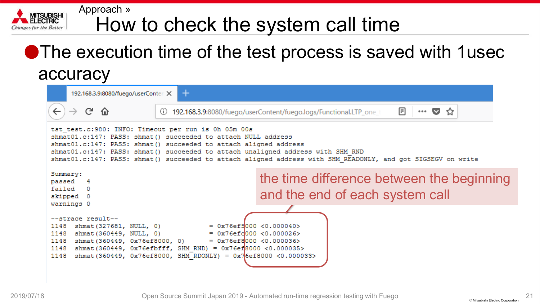#### How to check the system call time Approach »

### ●The execution time of the test process is saved with 1usec accuracy

| $\pm$<br>192.168.3.9:8080/fuego/userConter: X                                                                                                                                                                                                                                                                                                                                                |                                                                                                       |  |
|----------------------------------------------------------------------------------------------------------------------------------------------------------------------------------------------------------------------------------------------------------------------------------------------------------------------------------------------------------------------------------------------|-------------------------------------------------------------------------------------------------------|--|
| C û<br>$\rightarrow$<br>O)                                                                                                                                                                                                                                                                                                                                                                   | 圓<br>192.168.3.9:8080/fuego/userContent/fuego.logs/Functional.LTP_one_t<br>$\cdots$ $\heartsuit$<br>☆ |  |
| tst test.c: 980: INFO: Timeout per run is 0h 05m 00s<br>shmat01.c:147: PASS: shmat() succeeded to attach NULL address<br>shmat01.c:147: PASS: shmat() succeeded to attach aligned address<br>shmat01.c:147: PASS: shmat() succeeded to attach unaligned address with SHM RND<br>shmat01.c:147: PASS: shmat() succeeded to attach aligned address with SHM READONLY, and got SIGSEGV on write |                                                                                                       |  |
| Summary:<br>passed 4<br>failed 0<br>skipped 0<br>warnings 0                                                                                                                                                                                                                                                                                                                                  | the time difference between the beginning<br>and the end of each system call                          |  |
| --strace result--<br>$= 0x76eff000 < 0.000040$<br>1148<br>shmat (327681, NULL, 0)<br>1148<br>shmat (360449, NULL, 0)<br>$= 0x76efc 000 < 0.000026$<br>1148<br>shmat(360449, 0x76ef8000, 0)<br>$= 0x76eff000 < 0.000036$<br>1148<br>shmat (360449, 0x76efbfff, SHM RND) = 0x76ef8000 <0.000035><br>1148<br>shmat(360449, 0x76ef8000, SHM RDONLY) = 0x76ef8000 <0.000033>                      |                                                                                                       |  |

**MITSUBISHI** 

s for the Better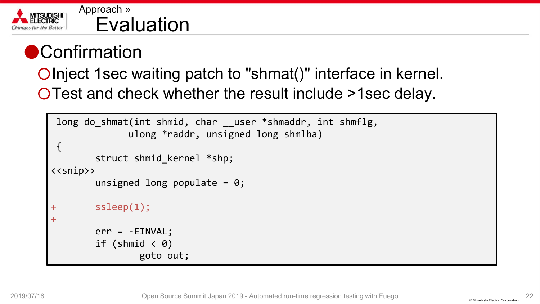

#### Evaluation Approach »

### ● Confirmation

○Inject 1sec waiting patch to "shmat()" interface in kernel. ○Test and check whether the result include >1sec delay.

```
long do_shmat(int shmid, char __user *shmaddr, int shmflg,
               ulong *raddr, unsigned long shmlba)
 \{struct shmid kernel *shp;
\langle < snip>>
        unsigned long populate = 0;+ ssleep(1);
+err = -EINVAL;
         if (shmid \langle \theta \ranglegoto out;
```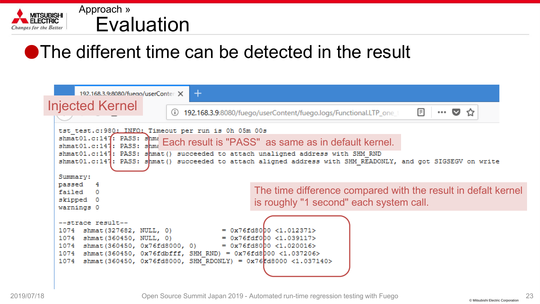

#### Evaluation Approach »

### ●The different time can be detected in the result

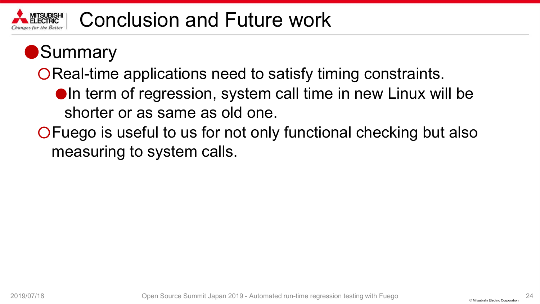

### ●Summary

○Real-time applications need to satisfy timing constraints.

- ●In term of regression, system call time in new Linux will be shorter or as same as old one.
- ○Fuego is useful to us for not only functional checking but also measuring to system calls.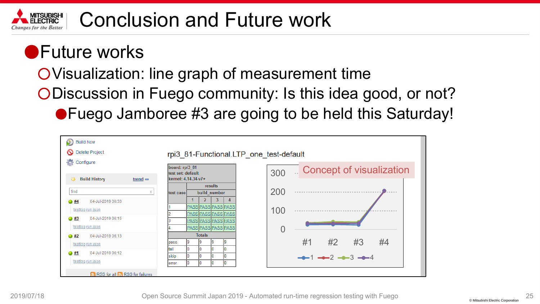

### ●Future works

○Visualization: line graph of measurement time

- ○Discussion in Fuego community: Is this idea good, or not?
	- ●Fuego Jamboree #3 are going to be held this Saturday!

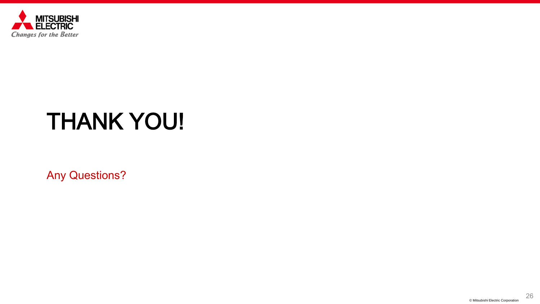

# THANK YOU!

Any Questions?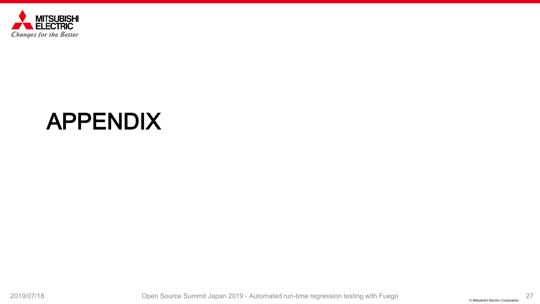

## APPENDIX